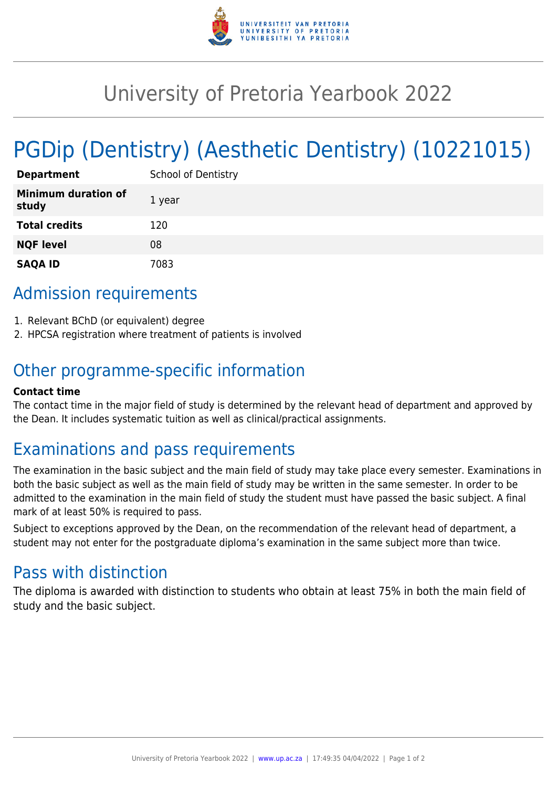

# University of Pretoria Yearbook 2022

# PGDip (Dentistry) (Aesthetic Dentistry) (10221015)

| <b>Department</b>                   | <b>School of Dentistry</b> |
|-------------------------------------|----------------------------|
| <b>Minimum duration of</b><br>study | 1 year                     |
| <b>Total credits</b>                | 120                        |
| <b>NQF level</b>                    | 08                         |
| <b>SAQA ID</b>                      | 7083                       |

## Admission requirements

- 1. Relevant BChD (or equivalent) degree
- 2. HPCSA registration where treatment of patients is involved

## Other programme-specific information

#### **Contact time**

The contact time in the major field of study is determined by the relevant head of department and approved by the Dean. It includes systematic tuition as well as clinical/practical assignments.

### Examinations and pass requirements

The examination in the basic subject and the main field of study may take place every semester. Examinations in both the basic subject as well as the main field of study may be written in the same semester. In order to be admitted to the examination in the main field of study the student must have passed the basic subject. A final mark of at least 50% is required to pass.

Subject to exceptions approved by the Dean, on the recommendation of the relevant head of department, a student may not enter for the postgraduate diploma's examination in the same subject more than twice.

#### Pass with distinction

The diploma is awarded with distinction to students who obtain at least 75% in both the main field of study and the basic subject.